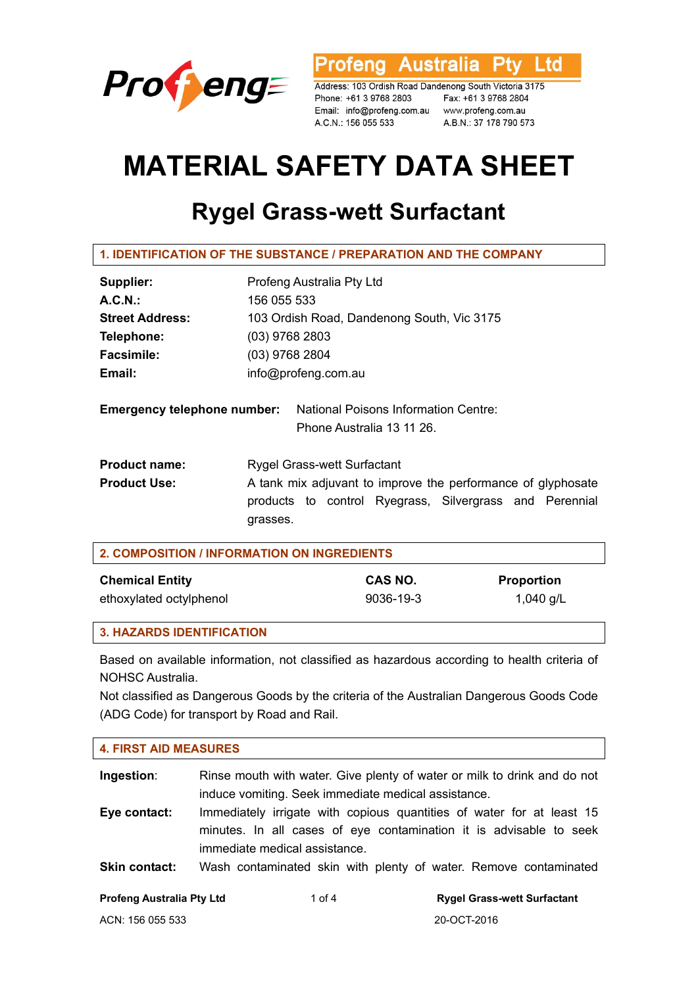

**Profeng Australia Ptv** Ltd

Address: 103 Ordish Road Dandenong South Victoria 3175 Phone: +61 3 9768 2803 Fax: +61 3 9768 2804 Email: info@profeng.com.au www.profeng.com.au A.C.N.: 156 055 533 A.B.N.: 37 178 790 573

# **MATERIAL SAFETY DATA SHEET**

# **Rygel Grass-wett Surfactant**

| Supplier:                                   | Profeng Australia Pty Ltd                                                                          |  |
|---------------------------------------------|----------------------------------------------------------------------------------------------------|--|
| A.C.N.                                      | 156 055 533                                                                                        |  |
| <b>Street Address:</b>                      | 103 Ordish Road, Dandenong South, Vic 3175                                                         |  |
| Telephone:                                  | $(03)$ 9768 2803                                                                                   |  |
| <b>Facsimile:</b>                           | $(03)$ 9768 2804                                                                                   |  |
| Email:                                      | info@profeng.com.au                                                                                |  |
| <b>Emergency telephone number:</b>          | <b>National Poisons Information Centre:</b><br>Phone Australia 13 11 26.                           |  |
| <b>Product name:</b><br><b>Product Use:</b> | <b>Rygel Grass-wett Surfactant</b><br>A tank mix adjuvant to improve the performance of glyphosate |  |
|                                             | products to control Ryegrass, Silvergrass and Perennial<br>grasses.                                |  |

| <b>2. COMPOSITION / INFORMATION ON INGREDIENTS</b> |           |                   |
|----------------------------------------------------|-----------|-------------------|
| <b>Chemical Entity</b>                             | CAS NO.   | <b>Proportion</b> |
| ethoxylated octylphenol                            | 9036-19-3 | 1,040 g/L         |

#### **3. HAZARDS IDENTIFICATION**

Based on available information, not classified as hazardous according to health criteria of NOHSC Australia.

Not classified as Dangerous Goods by the criteria of the Australian Dangerous Goods Code (ADG Code) for transport by Road and Rail.

| <b>4. FIRST AID MEASURES</b>     |                                                     |                                                                                                                                             |
|----------------------------------|-----------------------------------------------------|---------------------------------------------------------------------------------------------------------------------------------------------|
| Ingestion:                       | induce vomiting. Seek immediate medical assistance. | Rinse mouth with water. Give plenty of water or milk to drink and do not                                                                    |
| Eye contact:                     | immediate medical assistance.                       | Immediately irrigate with copious quantities of water for at least 15<br>minutes. In all cases of eye contamination it is advisable to seek |
| <b>Skin contact:</b>             |                                                     | Wash contaminated skin with plenty of water. Remove contaminated                                                                            |
| <b>Profeng Australia Pty Ltd</b> | 1 of $4$                                            | <b>Rygel Grass-wett Surfactant</b>                                                                                                          |
| ACN: 156 055 533                 |                                                     | 20-OCT-2016                                                                                                                                 |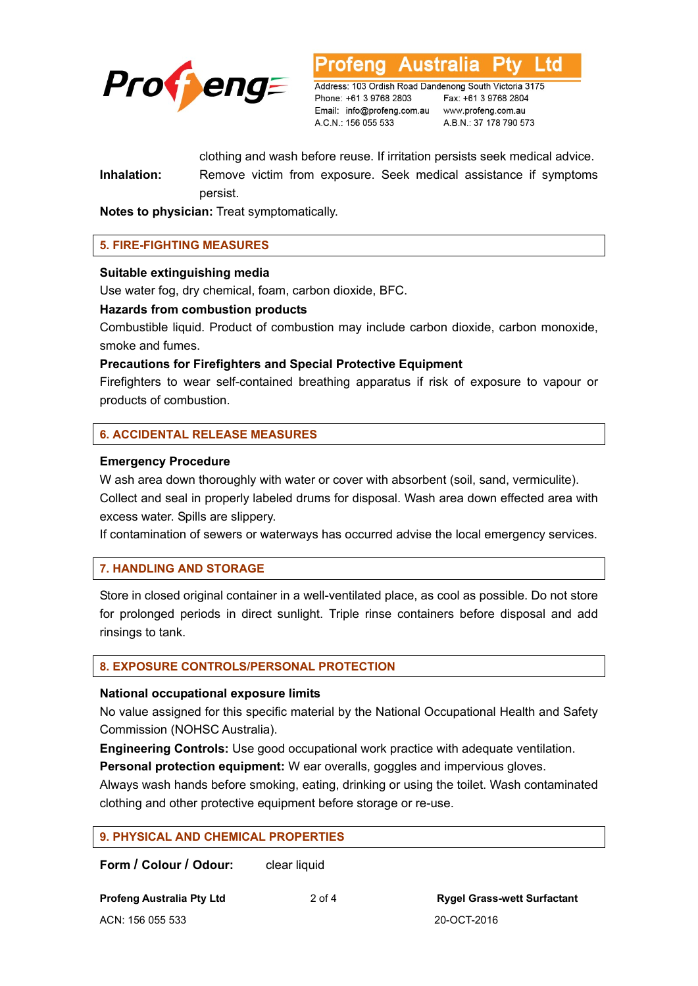

Australia ∟td

Address: 103 Ordish Road Dandenong South Victoria 3175 Phone: +61 3 9768 2803 Email: info@profeng.com.au www.profeng.com.au A.C.N.: 156 055 533

Fax: +61 3 9768 2804 A.B.N.: 37 178 790 573

clothing and wash before reuse. If irritation persists seek medical advice. **Inhalation:** Remove victim from exposure. Seek medical assistance if symptoms persist.

**Notes to physician:** Treat symptomatically.

# **5. FIRE-FIGHTING MEASURES**

#### **Suitable extinguishing media**

Use water fog, dry chemical, foam, carbon dioxide, BFC.

#### **Hazards from combustion products**

Combustible liquid. Product of combustion may include carbon dioxide, carbon monoxide, smoke and fumes.

#### **Precautions for Firefighters and Special Protective Equipment**

Firefighters to wear self-contained breathing apparatus if risk of exposure to vapour or products of combustion.

# **6. ACCIDENTAL RELEASE MEASURES**

#### **Emergency Procedure**

W ash area down thoroughly with water or cover with absorbent (soil, sand, vermiculite). Collect and seal in properly labeled drums for disposal. Wash area down effected area with excess water. Spills are slippery.

If contamination of sewers or waterways has occurred advise the local emergency services.

# **7. HANDLING AND STORAGE**

Store in closed original container in a well-ventilated place, as cool as possible. Do not store for prolonged periods in direct sunlight. Triple rinse containers before disposal and add rinsings to tank.

#### **8. EXPOSURE CONTROLS/PERSONAL PROTECTION**

#### **National occupational exposure limits**

No value assigned for this specific material by the National Occupational Health and Safety Commission (NOHSC Australia).

**Engineering Controls:** Use good occupational work practice with adequate ventilation.

**Personal protection equipment:** W ear overalls, goggles and impervious gloves.

Always wash hands before smoking, eating, drinking or using the toilet. Wash contaminated clothing and other protective equipment before storage or re-use.

**Form / Colour / Odour:** clear liquid

ACN: 156 055 533 20-OCT-2016

**Profeng Australia Pty Ltd** 2 of 4 **Rygel Grass-wett Surfactant**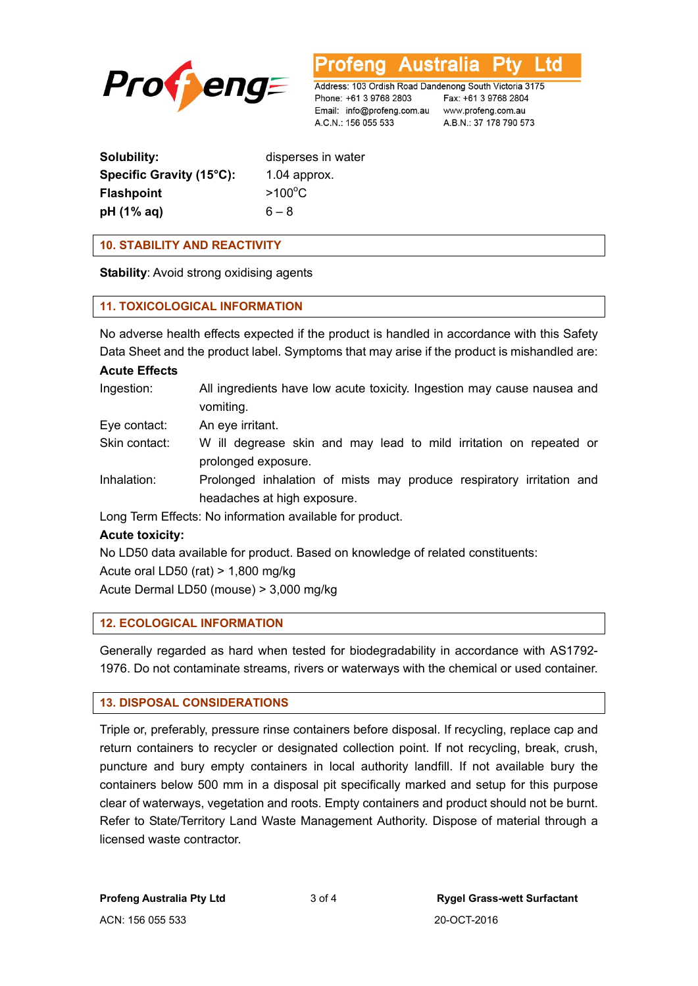

Australia ∟td

Address: 103 Ordish Road Dandenong South Victoria 3175 Phone: +61 3 9768 2803 Email: info@profeng.com.au www.profeng.com.au A.C.N.: 156 055 533

Fax: +61 3 9768 2804 A.B.N.: 37 178 790 573

| Solubility:              | disperses in water |
|--------------------------|--------------------|
| Specific Gravity (15°C): | $1.04$ approx.     |
| <b>Flashpoint</b>        | $>100^{\circ}$ C   |
| pH (1% aq)               | $6 - 8$            |

**10. STABILITY AND REACTIVITY** 

**Stability**: Avoid strong oxidising agents

# **11. TOXICOLOGICAL INFORMATION**

No adverse health effects expected if the product is handled in accordance with this Safety Data Sheet and the product label. Symptoms that may arise if the product is mishandled are:

#### **Acute Effects**

| Ingestion: | All ingredients have low acute toxicity. Ingestion may cause nausea and |
|------------|-------------------------------------------------------------------------|
|            | vomiting.                                                               |

- Eye contact: An eye irritant.
- Skin contact: W ill degrease skin and may lead to mild irritation on repeated or prolonged exposure.
- Inhalation: Prolonged inhalation of mists may produce respiratory irritation and headaches at high exposure.

Long Term Effects: No information available for product.

# **Acute toxicity:**

No LD50 data available for product. Based on knowledge of related constituents: Acute oral LD50 (rat) > 1,800 mg/kg Acute Dermal LD50 (mouse) > 3,000 mg/kg

# **12. ECOLOGICAL INFORMATION**

Generally regarded as hard when tested for biodegradability in accordance with AS1792- 1976. Do not contaminate streams, rivers or waterways with the chemical or used container.

# **13. DISPOSAL CONSIDERATIONS**

Triple or, preferably, pressure rinse containers before disposal. If recycling, replace cap and return containers to recycler or designated collection point. If not recycling, break, crush, puncture and bury empty containers in local authority landfill. If not available bury the containers below 500 mm in a disposal pit specifically marked and setup for this purpose clear of waterways, vegetation and roots. Empty containers and product should not be burnt. Refer to State/Territory Land Waste Management Authority. Dispose of material through a licensed waste contractor.